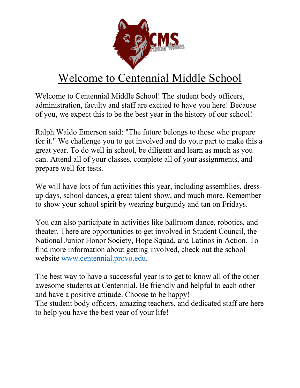

# Welcome to Centennial Middle School

Welcome to Centennial Middle School! The student body officers, administration, faculty and staff are excited to have you here! Because of you, we expect this to be the best year in the history of our school!

Ralph Waldo Emerson said: "The future belongs to those who prepare for it." We challenge you to get involved and do your part to make this a great year. To do well in school, be diligent and learn as much as you can. Attend all of your classes, complete all of your assignments, and prepare well for tests.

We will have lots of fun activities this year, including assemblies, dressup days, school dances, a great talent show, and much more. Remember to show your school spirit by wearing burgundy and tan on Fridays.

You can also participate in activities like ballroom dance, robotics, and theater. There are opportunities to get involved in Student Council, the National Junior Honor Society, Hope Squad, and Latinos in Action. To find more information about getting involved, check out the school website www.centennial.provo.edu.

The best way to have a successful year is to get to know all of the other awesome students at Centennial. Be friendly and helpful to each other and have a positive attitude. Choose to be happy!

The student body officers, amazing teachers, and dedicated staff are here to help you have the best year of your life!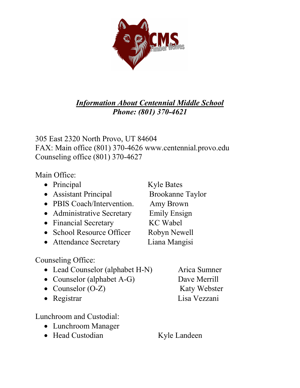

#### *Information About Centennial Middle School Phone: (801) 370-4621*

305 East 2320 North Provo, UT 84604 FAX: Main office (801) 370-4626 www.centennial.provo.edu Counseling office (801) 370-4627

Main Office:

- Principal Kyle Bates
- Assistant Principal Brookanne Taylor
- PBIS Coach/Intervention. Amy Brown
- Administrative Secretary Emily Ensign
- Financial Secretary KC Wabel
- School Resource Officer Robyn Newell
- Attendance Secretary Liana Mangisi

Counseling Office:

- Lead Counselor (alphabet H-N) Arica Sumner
- Counselor (alphabet A-G) Dave Merrill
- Counselor (O-Z) Katy Webster
- 

Lunchroom and Custodial:

- Lunchroom Manager
- Head Custodian Kyle Landeen

• Registrar Lisa Vezzani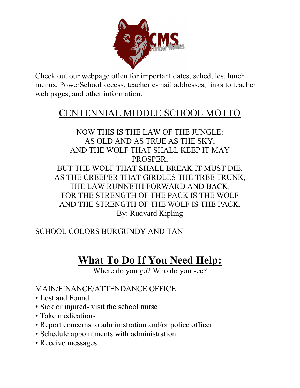

Check out our webpage often for important dates, schedules, lunch menus, PowerSchool access, teacher e-mail addresses, links to teacher web pages, and other information.

## CENTENNIAL MIDDLE SCHOOL MOTTO

NOW THIS IS THE LAW OF THE JUNGLE: AS OLD AND AS TRUE AS THE SKY, AND THE WOLF THAT SHALL KEEP IT MAY PROSPER, BUT THE WOLF THAT SHALL BREAK IT MUST DIE. AS THE CREEPER THAT GIRDLES THE TREE TRUNK, THE LAW RUNNETH FORWARD AND BACK. FOR THE STRENGTH OF THE PACK IS THE WOLF AND THE STRENGTH OF THE WOLF IS THE PACK. By: Rudyard Kipling

SCHOOL COLORS BURGUNDY AND TAN

## **What To Do If You Need Help:**

Where do you go? Who do you see?

MAIN/FINANCE/ATTENDANCE OFFICE:

- Lost and Found
- Sick or injured- visit the school nurse
- Take medications
- Report concerns to administration and/or police officer
- Schedule appointments with administration
- Receive messages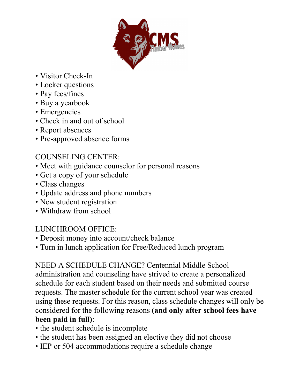

- Visitor Check-In
- Locker questions
- Pay fees/fines
- Buy a yearbook
- Emergencies
- Check in and out of school
- Report absences
- Pre-approved absence forms

## COUNSELING CENTER:

- Meet with guidance counselor for personal reasons
- Get a copy of your schedule
- Class changes
- Update address and phone numbers
- New student registration
- Withdraw from school

#### LUNCHROOM OFFICE:

- Deposit money into account/check balance
- Turn in lunch application for Free/Reduced lunch program

NEED A SCHEDULE CHANGE? Centennial Middle School administration and counseling have strived to create a personalized schedule for each student based on their needs and submitted course requests. The master schedule for the current school year was created using these requests. For this reason, class schedule changes will only be considered for the following reasons **(and only after school fees have been paid in full)**:

- the student schedule is incomplete
- the student has been assigned an elective they did not choose
- IEP or 504 accommodations require a schedule change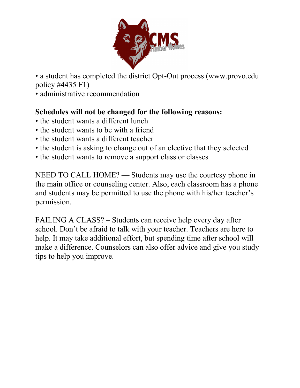

• a student has completed the district Opt-Out process (www.provo.edu policy #4435 F1)

• administrative recommendation

#### **Schedules will not be changed for the following reasons:**

- the student wants a different lunch
- the student wants to be with a friend
- the student wants a different teacher
- the student is asking to change out of an elective that they selected
- the student wants to remove a support class or classes

NEED TO CALL HOME? — Students may use the courtesy phone in the main office or counseling center. Also, each classroom has a phone and students may be permitted to use the phone with his/her teacher's permission.

FAILING A CLASS? – Students can receive help every day after school. Don't be afraid to talk with your teacher. Teachers are here to help. It may take additional effort, but spending time after school will make a difference. Counselors can also offer advice and give you study tips to help you improve.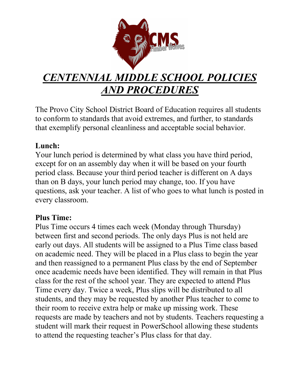

# *CENTENNIAL MIDDLE SCHOOL POLICIES AND PROCEDURES*

The Provo City School District Board of Education requires all students to conform to standards that avoid extremes, and further, to standards that exemplify personal cleanliness and acceptable social behavior.

#### **Lunch:**

Your lunch period is determined by what class you have third period, except for on an assembly day when it will be based on your fourth period class. Because your third period teacher is different on A days than on B days, your lunch period may change, too. If you have questions, ask your teacher. A list of who goes to what lunch is posted in every classroom.

#### **Plus Time:**

Plus Time occurs 4 times each week (Monday through Thursday) between first and second periods. The only days Plus is not held are early out days. All students will be assigned to a Plus Time class based on academic need. They will be placed in a Plus class to begin the year and then reassigned to a permanent Plus class by the end of September once academic needs have been identified. They will remain in that Plus class for the rest of the school year. They are expected to attend Plus Time every day. Twice a week, Plus slips will be distributed to all students, and they may be requested by another Plus teacher to come to their room to receive extra help or make up missing work. These requests are made by teachers and not by students. Teachers requesting a student will mark their request in PowerSchool allowing these students to attend the requesting teacher's Plus class for that day.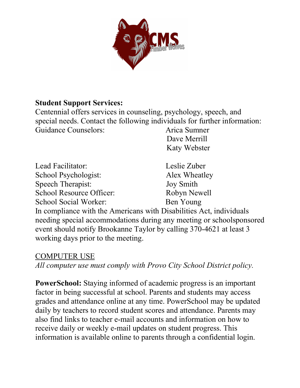

#### **Student Support Services:**

Centennial offers services in counseling, psychology, speech, and special needs. Contact the following individuals for further information: Guidance Counselors: Arica Sumner

 Dave Merrill Katy Webster

| Lead Facilitator:                  | Leslie Zuber                                                         |
|------------------------------------|----------------------------------------------------------------------|
| School Psychologist:               | Alex Wheatley                                                        |
| Speech Therapist:                  | <b>Joy Smith</b>                                                     |
| School Resource Officer:           | Robyn Newell                                                         |
| School Social Worker:              | Ben Young                                                            |
|                                    | In compliance with the Americans with Disabilities Act, individuals  |
|                                    | needing special accommodations during any meeting or schoolsponsored |
|                                    | event should notify Brookanne Taylor by calling 370-4621 at least 3  |
| working days prior to the meeting. |                                                                      |

#### COMPUTER USE

*All computer use must comply with Provo City School District policy.* 

**PowerSchool:** Staying informed of academic progress is an important factor in being successful at school. Parents and students may access grades and attendance online at any time. PowerSchool may be updated daily by teachers to record student scores and attendance. Parents may also find links to teacher e-mail accounts and information on how to receive daily or weekly e-mail updates on student progress. This information is available online to parents through a confidential login.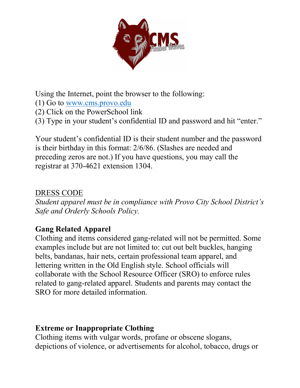

Using the Internet, point the browser to the following:

- (1) Go to www.cms.provo.edu
- (2) Click on the PowerSchool link
- (3) Type in your student's confidential ID and password and hit "enter."

Your student's confidential ID is their student number and the password is their birthday in this format: 2/6/86. (Slashes are needed and preceding zeros are not.) If you have questions, you may call the registrar at 370-4621 extension 1304.

#### DRESS CODE

*Student apparel must be in compliance with Provo City School District's Safe and Orderly Schools Policy.* 

#### **Gang Related Apparel**

Clothing and items considered gang-related will not be permitted. Some examples include but are not limited to: cut out belt buckles, hanging belts, bandanas, hair nets, certain professional team apparel, and lettering written in the Old English style. School officials will collaborate with the School Resource Officer (SRO) to enforce rules related to gang-related apparel. Students and parents may contact the SRO for more detailed information.

#### **Extreme or Inappropriate Clothing**

Clothing items with vulgar words, profane or obscene slogans, depictions of violence, or advertisements for alcohol, tobacco, drugs or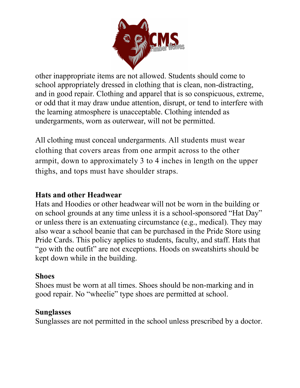

other inappropriate items are not allowed. Students should come to school appropriately dressed in clothing that is clean, non-distracting, and in good repair. Clothing and apparel that is so conspicuous, extreme, or odd that it may draw undue attention, disrupt, or tend to interfere with the learning atmosphere is unacceptable. Clothing intended as undergarments, worn as outerwear, will not be permitted.

All clothing must conceal undergarments. All students must wear clothing that covers areas from one armpit across to the other armpit, down to approximately 3 to 4 inches in length on the upper thighs, and tops must have shoulder straps.

#### **Hats and other Headwear**

Hats and Hoodies or other headwear will not be worn in the building or on school grounds at any time unless it is a school-sponsored "Hat Day" or unless there is an extenuating circumstance (e.g., medical). They may also wear a school beanie that can be purchased in the Pride Store using Pride Cards. This policy applies to students, faculty, and staff. Hats that "go with the outfit" are not exceptions. Hoods on sweatshirts should be kept down while in the building.

#### **Shoes**

Shoes must be worn at all times. Shoes should be non-marking and in good repair. No "wheelie" type shoes are permitted at school.

#### **Sunglasses**

Sunglasses are not permitted in the school unless prescribed by a doctor.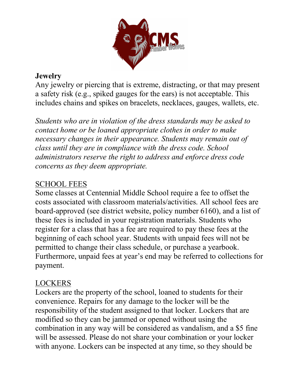

#### **Jewelry**

Any jewelry or piercing that is extreme, distracting, or that may present a safety risk (e.g., spiked gauges for the ears) is not acceptable. This includes chains and spikes on bracelets, necklaces, gauges, wallets, etc.

*Students who are in violation of the dress standards may be asked to contact home or be loaned appropriate clothes in order to make necessary changes in their appearance. Students may remain out of class until they are in compliance with the dress code. School administrators reserve the right to address and enforce dress code concerns as they deem appropriate.*

## SCHOOL FEES

Some classes at Centennial Middle School require a fee to offset the costs associated with classroom materials/activities. All school fees are board-approved (see district website, policy number 6160), and a list of these fees is included in your registration materials. Students who register for a class that has a fee are required to pay these fees at the beginning of each school year. Students with unpaid fees will not be permitted to change their class schedule, or purchase a yearbook. Furthermore, unpaid fees at year's end may be referred to collections for payment.

#### LOCKERS

Lockers are the property of the school, loaned to students for their convenience. Repairs for any damage to the locker will be the responsibility of the student assigned to that locker. Lockers that are modified so they can be jammed or opened without using the combination in any way will be considered as vandalism, and a \$5 fine will be assessed. Please do not share your combination or your locker with anyone. Lockers can be inspected at any time, so they should be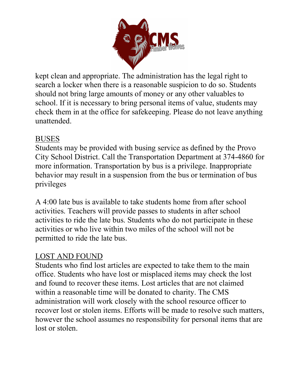

kept clean and appropriate. The administration has the legal right to search a locker when there is a reasonable suspicion to do so. Students should not bring large amounts of money or any other valuables to school. If it is necessary to bring personal items of value, students may check them in at the office for safekeeping. Please do not leave anything unattended.

#### BUSES

Students may be provided with busing service as defined by the Provo City School District. Call the Transportation Department at 374-4860 for more information. Transportation by bus is a privilege. Inappropriate behavior may result in a suspension from the bus or termination of bus privileges

A 4:00 late bus is available to take students home from after school activities. Teachers will provide passes to students in after school activities to ride the late bus. Students who do not participate in these activities or who live within two miles of the school will not be permitted to ride the late bus.

#### LOST AND FOUND

Students who find lost articles are expected to take them to the main office. Students who have lost or misplaced items may check the lost and found to recover these items. Lost articles that are not claimed within a reasonable time will be donated to charity. The CMS administration will work closely with the school resource officer to recover lost or stolen items. Efforts will be made to resolve such matters, however the school assumes no responsibility for personal items that are lost or stolen.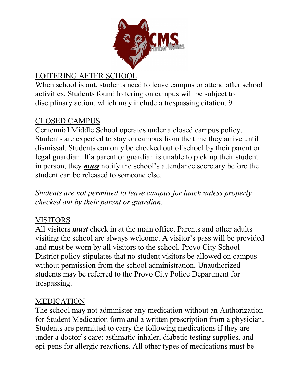

## LOITERING AFTER SCHOOL

When school is out, students need to leave campus or attend after school activities. Students found loitering on campus will be subject to disciplinary action, which may include a trespassing citation. 9

#### CLOSED CAMPUS

Centennial Middle School operates under a closed campus policy. Students are expected to stay on campus from the time they arrive until dismissal. Students can only be checked out of school by their parent or legal guardian. If a parent or guardian is unable to pick up their student in person, they *must* notify the school's attendance secretary before the student can be released to someone else.

*Students are not permitted to leave campus for lunch unless properly checked out by their parent or guardian.* 

#### VISITORS

All visitors *must* check in at the main office. Parents and other adults visiting the school are always welcome. A visitor's pass will be provided and must be worn by all visitors to the school. Provo City School District policy stipulates that no student visitors be allowed on campus without permission from the school administration. Unauthorized students may be referred to the Provo City Police Department for trespassing.

#### MEDICATION

The school may not administer any medication without an Authorization for Student Medication form and a written prescription from a physician. Students are permitted to carry the following medications if they are under a doctor's care: asthmatic inhaler, diabetic testing supplies, and epi-pens for allergic reactions. All other types of medications must be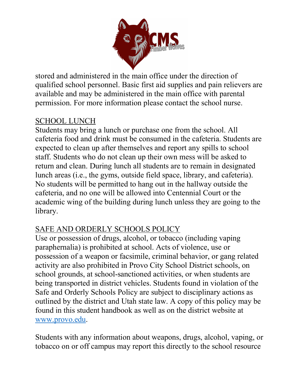

stored and administered in the main office under the direction of qualified school personnel. Basic first aid supplies and pain relievers are available and may be administered in the main office with parental permission. For more information please contact the school nurse.

#### SCHOOL LUNCH

Students may bring a lunch or purchase one from the school. All cafeteria food and drink must be consumed in the cafeteria. Students are expected to clean up after themselves and report any spills to school staff. Students who do not clean up their own mess will be asked to return and clean. During lunch all students are to remain in designated lunch areas (i.e., the gyms, outside field space, library, and cafeteria). No students will be permitted to hang out in the hallway outside the cafeteria, and no one will be allowed into Centennial Court or the academic wing of the building during lunch unless they are going to the library.

## SAFE AND ORDERLY SCHOOLS POLICY

Use or possession of drugs, alcohol, or tobacco (including vaping paraphernalia) is prohibited at school. Acts of violence, use or possession of a weapon or facsimile, criminal behavior, or gang related activity are also prohibited in Provo City School District schools, on school grounds, at school-sanctioned activities, or when students are being transported in district vehicles. Students found in violation of the Safe and Orderly Schools Policy are subject to disciplinary actions as outlined by the district and Utah state law. A copy of this policy may be found in this student handbook as well as on the district website at www.provo.edu.

Students with any information about weapons, drugs, alcohol, vaping, or tobacco on or off campus may report this directly to the school resource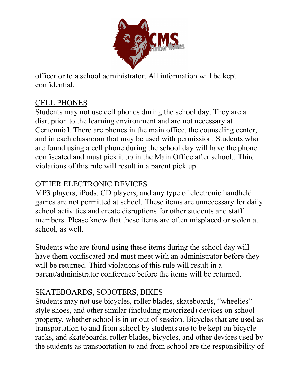

officer or to a school administrator. All information will be kept confidential.

## CELL PHONES

Students may not use cell phones during the school day. They are a disruption to the learning environment and are not necessary at Centennial. There are phones in the main office, the counseling center, and in each classroom that may be used with permission. Students who are found using a cell phone during the school day will have the phone confiscated and must pick it up in the Main Office after school.. Third violations of this rule will result in a parent pick up.

## OTHER ELECTRONIC DEVICES

MP3 players, iPods, CD players, and any type of electronic handheld games are not permitted at school. These items are unnecessary for daily school activities and create disruptions for other students and staff members. Please know that these items are often misplaced or stolen at school, as well.

Students who are found using these items during the school day will have them confiscated and must meet with an administrator before they will be returned. Third violations of this rule will result in a parent/administrator conference before the items will be returned.

## SKATEBOARDS, SCOOTERS, BIKES

Students may not use bicycles, roller blades, skateboards, "wheelies" style shoes, and other similar (including motorized) devices on school property, whether school is in or out of session. Bicycles that are used as transportation to and from school by students are to be kept on bicycle racks, and skateboards, roller blades, bicycles, and other devices used by the students as transportation to and from school are the responsibility of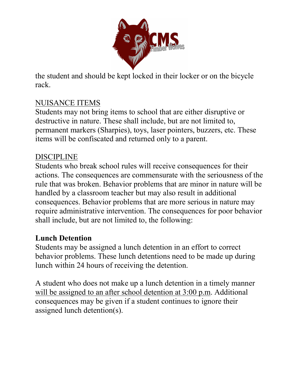

the student and should be kept locked in their locker or on the bicycle rack.

#### NUISANCE ITEMS

Students may not bring items to school that are either disruptive or destructive in nature. These shall include, but are not limited to, permanent markers (Sharpies), toys, laser pointers, buzzers, etc. These items will be confiscated and returned only to a parent.

#### DISCIPLINE

Students who break school rules will receive consequences for their actions. The consequences are commensurate with the seriousness of the rule that was broken. Behavior problems that are minor in nature will be handled by a classroom teacher but may also result in additional consequences. Behavior problems that are more serious in nature may require administrative intervention. The consequences for poor behavior shall include, but are not limited to, the following:

#### **Lunch Detention**

Students may be assigned a lunch detention in an effort to correct behavior problems. These lunch detentions need to be made up during lunch within 24 hours of receiving the detention.

A student who does not make up a lunch detention in a timely manner will be assigned to an after school detention at 3:00 p.m. Additional consequences may be given if a student continues to ignore their assigned lunch detention(s).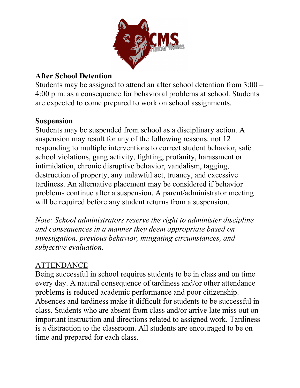

#### **After School Detention**

Students may be assigned to attend an after school detention from 3:00 – 4:00 p.m. as a consequence for behavioral problems at school. Students are expected to come prepared to work on school assignments.

#### **Suspension**

Students may be suspended from school as a disciplinary action. A suspension may result for any of the following reasons: not 12 responding to multiple interventions to correct student behavior, safe school violations, gang activity, fighting, profanity, harassment or intimidation, chronic disruptive behavior, vandalism, tagging, destruction of property, any unlawful act, truancy, and excessive tardiness. An alternative placement may be considered if behavior problems continue after a suspension. A parent/administrator meeting will be required before any student returns from a suspension.

*Note: School administrators reserve the right to administer discipline and consequences in a manner they deem appropriate based on investigation, previous behavior, mitigating circumstances, and subjective evaluation.* 

#### ATTENDANCE

Being successful in school requires students to be in class and on time every day. A natural consequence of tardiness and/or other attendance problems is reduced academic performance and poor citizenship. Absences and tardiness make it difficult for students to be successful in class. Students who are absent from class and/or arrive late miss out on important instruction and directions related to assigned work. Tardiness is a distraction to the classroom. All students are encouraged to be on time and prepared for each class.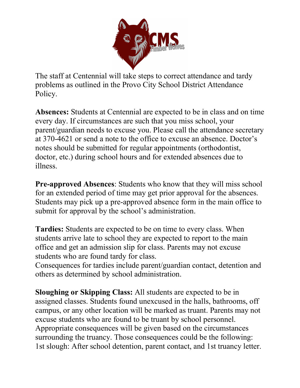

The staff at Centennial will take steps to correct attendance and tardy problems as outlined in the Provo City School District Attendance Policy.

**Absences:** Students at Centennial are expected to be in class and on time every day. If circumstances are such that you miss school, your parent/guardian needs to excuse you. Please call the attendance secretary at 370-4621 or send a note to the office to excuse an absence. Doctor's notes should be submitted for regular appointments (orthodontist, doctor, etc.) during school hours and for extended absences due to illness.

**Pre-approved Absences:** Students who know that they will miss school for an extended period of time may get prior approval for the absences. Students may pick up a pre-approved absence form in the main office to submit for approval by the school's administration.

**Tardies:** Students are expected to be on time to every class. When students arrive late to school they are expected to report to the main office and get an admission slip for class. Parents may not excuse students who are found tardy for class.

Consequences for tardies include parent/guardian contact, detention and others as determined by school administration.

**Sloughing or Skipping Class:** All students are expected to be in assigned classes. Students found unexcused in the halls, bathrooms, off campus, or any other location will be marked as truant. Parents may not excuse students who are found to be truant by school personnel. Appropriate consequences will be given based on the circumstances surrounding the truancy. Those consequences could be the following: 1st slough: After school detention, parent contact, and 1st truancy letter.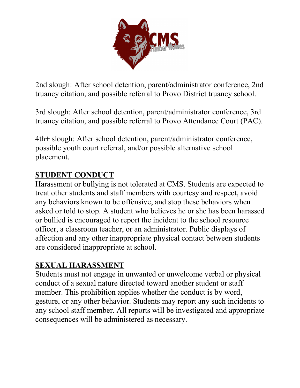

2nd slough: After school detention, parent/administrator conference, 2nd truancy citation, and possible referral to Provo District truancy school.

3rd slough: After school detention, parent/administrator conference, 3rd truancy citation, and possible referral to Provo Attendance Court (PAC).

4th+ slough: After school detention, parent/administrator conference, possible youth court referral, and/or possible alternative school placement.

## **STUDENT CONDUCT**

Harassment or bullying is not tolerated at CMS. Students are expected to treat other students and staff members with courtesy and respect, avoid any behaviors known to be offensive, and stop these behaviors when asked or told to stop. A student who believes he or she has been harassed or bullied is encouraged to report the incident to the school resource officer, a classroom teacher, or an administrator. Public displays of affection and any other inappropriate physical contact between students are considered inappropriate at school.

#### **SEXUAL HARASSMENT**

Students must not engage in unwanted or unwelcome verbal or physical conduct of a sexual nature directed toward another student or staff member. This prohibition applies whether the conduct is by word, gesture, or any other behavior. Students may report any such incidents to any school staff member. All reports will be investigated and appropriate consequences will be administered as necessary.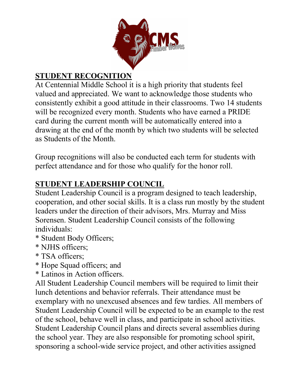

## **STUDENT RECOGNITION**

At Centennial Middle School it is a high priority that students feel valued and appreciated. We want to acknowledge those students who consistently exhibit a good attitude in their classrooms. Two 14 students will be recognized every month. Students who have earned a PRIDE card during the current month will be automatically entered into a drawing at the end of the month by which two students will be selected as Students of the Month.

Group recognitions will also be conducted each term for students with perfect attendance and for those who qualify for the honor roll.

## **STUDENT LEADERSHIP COUNCIL**

Student Leadership Council is a program designed to teach leadership, cooperation, and other social skills. It is a class run mostly by the student leaders under the direction of their advisors, Mrs. Murray and Miss Sorensen. Student Leadership Council consists of the following individuals:

- \* Student Body Officers;
- \* NJHS officers;
- \* TSA officers;
- \* Hope Squad officers; and
- \* Latinos in Action officers.

All Student Leadership Council members will be required to limit their lunch detentions and behavior referrals. Their attendance must be exemplary with no unexcused absences and few tardies. All members of Student Leadership Council will be expected to be an example to the rest of the school, behave well in class, and participate in school activities. Student Leadership Council plans and directs several assemblies during the school year. They are also responsible for promoting school spirit, sponsoring a school-wide service project, and other activities assigned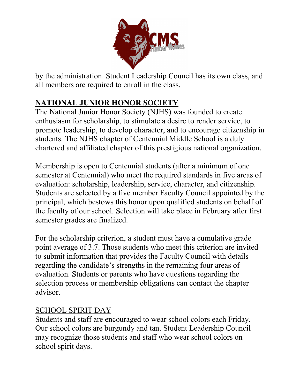

by the administration. Student Leadership Council has its own class, and all members are required to enroll in the class.

## **NATIONAL JUNIOR HONOR SOCIETY**

The National Junior Honor Society (NJHS) was founded to create enthusiasm for scholarship, to stimulate a desire to render service, to promote leadership, to develop character, and to encourage citizenship in students. The NJHS chapter of Centennial Middle School is a duly chartered and affiliated chapter of this prestigious national organization.

Membership is open to Centennial students (after a minimum of one semester at Centennial) who meet the required standards in five areas of evaluation: scholarship, leadership, service, character, and citizenship. Students are selected by a five member Faculty Council appointed by the principal, which bestows this honor upon qualified students on behalf of the faculty of our school. Selection will take place in February after first semester grades are finalized.

For the scholarship criterion, a student must have a cumulative grade point average of 3.7. Those students who meet this criterion are invited to submit information that provides the Faculty Council with details regarding the candidate's strengths in the remaining four areas of evaluation. Students or parents who have questions regarding the selection process or membership obligations can contact the chapter advisor.

#### SCHOOL SPIRIT DAY

Students and staff are encouraged to wear school colors each Friday. Our school colors are burgundy and tan. Student Leadership Council may recognize those students and staff who wear school colors on school spirit days.